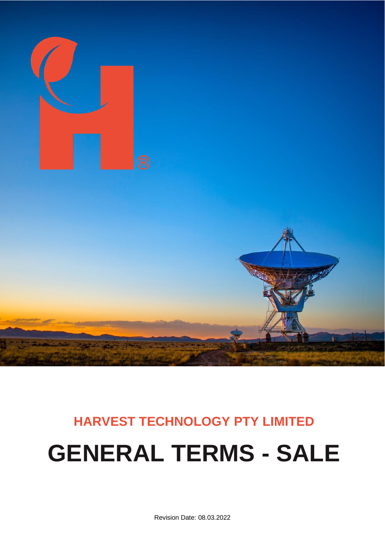

# **HARVEST TECHNOLOGY PTY LIMITED GENERAL TERMS - SALE**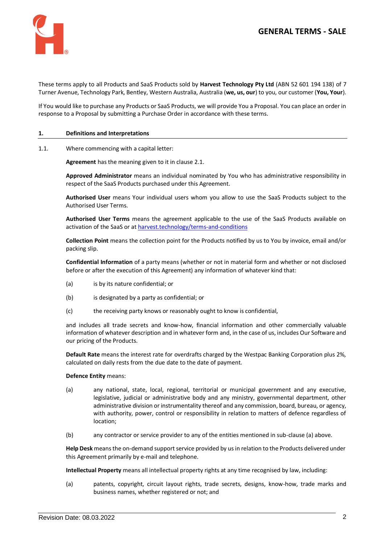

These terms apply to all Products and SaaS Products sold by **Harvest Technology Pty Ltd** (ABN 52 601 194 138) of 7 Turner Avenue, Technology Park, Bentley, Western Australia, Australia (**we, us, our**) to you, our customer (**You, Your**).

If You would like to purchase any Products or SaaS Products, we will provide You a Proposal. You can place an order in response to a Proposal by submitting a Purchase Order in accordance with these terms.

#### **1. Definitions and Interpretations**

1.1. Where commencing with a capital letter:

**Agreement** has the meaning given to it in claus[e 2.1.](#page-3-0)

**Approved Administrator** means an individual nominated by You who has administrative responsibility in respect of the SaaS Products purchased under this Agreement.

**Authorised User** means Your individual users whom you allow to use the SaaS Products subject to the Authorised User Terms.

**Authorised User Terms** means the agreement applicable to the use of the SaaS Products available on activation of the SaaS or a[t harvest.technology/terms-and-conditions](https://www.harvest.technology/terms-and-conditions)

**Collection Point** means the collection point for the Products notified by us to You by invoice, email and/or packing slip.

**Confidential Information** of a party means (whether or not in material form and whether or not disclosed before or after the execution of this Agreement) any information of whatever kind that:

- (a) is by its nature confidential; or
- (b) is designated by a party as confidential; or
- (c) the receiving party knows or reasonably ought to know is confidential,

and includes all trade secrets and know-how, financial information and other commercially valuable information of whatever description and in whatever form and, in the case of us, includes Our Software and our pricing of the Products.

**Default Rate** means the interest rate for overdrafts charged by the Westpac Banking Corporation plus 2%, calculated on daily rests from the due date to the date of payment.

#### **Defence Entity** means:

- (a) any national, state, local, regional, territorial or municipal government and any executive, legislative, judicial or administrative body and any ministry, governmental department, other administrative division or instrumentality thereof and any commission, board, bureau, or agency, with authority, power, control or responsibility in relation to matters of defence regardless of location;
- (b) any contractor or service provider to any of the entities mentioned in sub-clause (a) above.

**Help Desk** means the on-demand support service provided by us in relation to the Products delivered under this Agreement primarily by e-mail and telephone.

**Intellectual Property** means all intellectual property rights at any time recognised by law, including:

(a) patents, copyright, circuit layout rights, trade secrets, designs, know-how, trade marks and business names, whether registered or not; and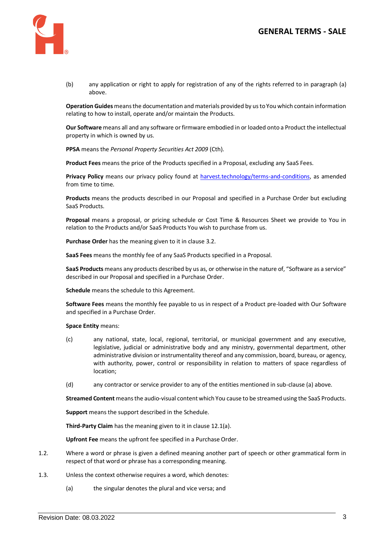

(b) any application or right to apply for registration of any of the rights referred to in paragraph (a) above.

**Operation Guides** meansthe documentation and materials provided by us to You which contain information relating to how to install, operate and/or maintain the Products.

**Our Software** means all and any software or firmware embodied in or loaded onto a Product the intellectual property in which is owned by us.

**PPSA** means the *Personal Property Securities Act 2009* (Cth).

**Product Fees** means the price of the Products specified in a Proposal, excluding any SaaS Fees.

Privacy Policy means our privacy policy found at [harvest.technology/terms-and-conditions,](https://www.harvest.technology/terms-and-conditions) as amended from time to time.

**Products** means the products described in our Proposal and specified in a Purchase Order but excluding SaaS Products.

**Proposal** means a proposal, or pricing schedule or Cost Time & Resources Sheet we provide to You in relation to the Products and/or SaaS Products You wish to purchase from us.

**Purchase Order** has the meaning given to it in claus[e 3.2.](#page-3-1)

**SaaS Fees** means the monthly fee of any SaaS Products specified in a Proposal.

**SaaS Products** means any products described by us as, or otherwise in the nature of, "Software as a service" described in our Proposal and specified in a Purchase Order.

**Schedule** means the schedule to this Agreement.

**Software Fees** means the monthly fee payable to us in respect of a Product pre-loaded with Our Software and specified in a Purchase Order.

**Space Entity** means:

- (c) any national, state, local, regional, territorial, or municipal government and any executive, legislative, judicial or administrative body and any ministry, governmental department, other administrative division or instrumentality thereof and any commission, board, bureau, or agency, with authority, power, control or responsibility in relation to matters of space regardless of location;
- (d) any contractor or service provider to any of the entities mentioned in sub-clause (a) above.

**Streamed Content** means the audio-visual content which You cause to be streamed using the SaaS Products.

**Support** means the support described in the Schedule.

**Third-Party Claim** has the meaning given to it in claus[e 12.1\(a\).](#page-8-0)

**Upfront Fee** means the upfront fee specified in a Purchase Order.

- 1.2. Where a word or phrase is given a defined meaning another part of speech or other grammatical form in respect of that word or phrase has a corresponding meaning.
- 1.3. Unless the context otherwise requires a word, which denotes:
	- (a) the singular denotes the plural and vice versa; and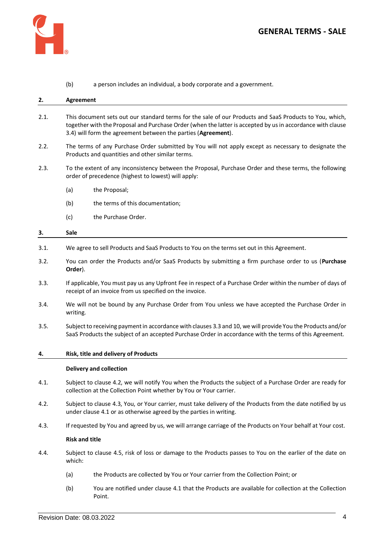(b) a person includes an individual, a body corporate and a government.

#### <span id="page-3-0"></span>**2. Agreement**

- 2.1. This document sets out our standard terms for the sale of our Products and SaaS Products to You, which, together with the Proposal and Purchase Order (when the latter is accepted by us in accordance with clause [3.4\)](#page-3-2) will form the agreement between the parties (**Agreement**).
- 2.2. The terms of any Purchase Order submitted by You will not apply except as necessary to designate the Products and quantities and other similar terms.
- 2.3. To the extent of any inconsistency between the Proposal, Purchase Order and these terms, the following order of precedence (highest to lowest) will apply:
	- (a) the Proposal;
	- (b) the terms of this documentation:
	- (c) the Purchase Order.

# <span id="page-3-7"></span>**3. Sale**

- <span id="page-3-1"></span>3.1. We agree to sell Products and SaaS Products to You on the terms set out in this Agreement.
- 3.2. You can order the Products and/or SaaS Products by submitting a firm purchase order to us (**Purchase Order**).
- <span id="page-3-3"></span>3.3. If applicable, You must pay us any Upfront Fee in respect of a Purchase Order within the number of days of receipt of an invoice from us specified on the invoice.
- <span id="page-3-2"></span>3.4. We will not be bound by any Purchase Order from You unless we have accepted the Purchase Order in writing.
- 3.5. Subject to receiving payment in accordance with clause[s 3.3](#page-3-3) an[d 10,](#page-6-0) we will provide You the Products and/or SaaS Products the subject of an accepted Purchase Order in accordance with the terms of this Agreement.

#### **4. Risk, title and delivery of Products**

#### **Delivery and collection**

- <span id="page-3-6"></span>4.1. Subject to clause [4.2,](#page-3-4) we will notify You when the Products the subject of a Purchase Order are ready for collection at the Collection Point whether by You or Your carrier.
- <span id="page-3-4"></span>4.2. Subject to clause [4.3,](#page-3-5) You, or Your carrier, must take delivery of the Products from the date notified by us under claus[e 4.1](#page-3-6) or as otherwise agreed by the parties in writing.
- <span id="page-3-5"></span>4.3. If requested by You and agreed by us, we will arrange carriage of the Products on Your behalf at Your cost.

#### **Risk and title**

- 4.4. Subject to clause [4.5,](#page-4-0) risk of loss or damage to the Products passes to You on the earlier of the date on which:
	- (a) the Products are collected by You or Your carrier from the Collection Point; or
	- (b) You are notified under claus[e 4.1](#page-3-6) that the Products are available for collection at the Collection Point.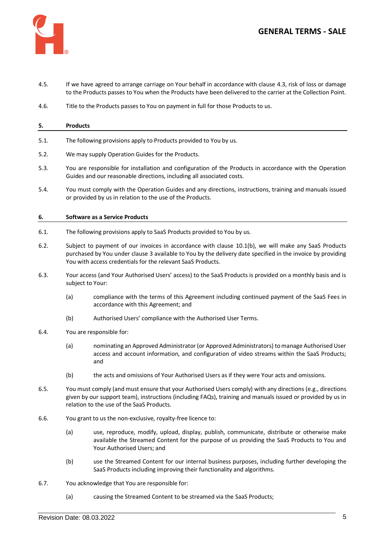

- <span id="page-4-0"></span>4.5. If we have agreed to arrange carriage on Your behalf in accordance with clause [4.3,](#page-3-5) risk of loss or damage to the Products passes to You when the Products have been delivered to the carrier at the Collection Point.
- 4.6. Title to the Products passes to You on payment in full for those Products to us.

#### **5. Products**

- 5.1. The following provisions apply to Products provided to You by us.
- 5.2. We may supply Operation Guides for the Products.
- 5.3. You are responsible for installation and configuration of the Products in accordance with the Operation Guides and our reasonable directions, including all associated costs.
- 5.4. You must comply with the Operation Guides and any directions, instructions, training and manuals issued or provided by us in relation to the use of the Products.

### **6. Software as a Service Products**

- 6.1. The following provisions apply to SaaS Products provided to You by us.
- 6.2. Subject to payment of our invoices in accordance with clause [10.1\(b\),](#page-6-1) we will make any SaaS Products purchased by You under clause [3](#page-3-7) available to You by the delivery date specified in the invoice by providing You with access credentials for the relevant SaaS Products.
- 6.3. Your access (and Your Authorised Users' access) to the SaaS Products is provided on a monthly basis and is subject to Your:
	- (a) compliance with the terms of this Agreement including continued payment of the SaaS Fees in accordance with this Agreement; and
	- (b) Authorised Users' compliance with the Authorised User Terms.
- 6.4. You are responsible for:
	- (a) nominating an Approved Administrator (or Approved Administrators) to manage Authorised User access and account information, and configuration of video streams within the SaaS Products; and
	- (b) the acts and omissions of Your Authorised Users as if they were Your acts and omissions.
- 6.5. You must comply (and must ensure that your Authorised Users comply) with any directions (e.g., directions given by our support team), instructions (including FAQs), training and manuals issued or provided by us in relation to the use of the SaaS Products.
- 6.6. You grant to us the non-exclusive, royalty-free licence to:
	- (a) use, reproduce, modify, upload, display, publish, communicate, distribute or otherwise make available the Streamed Content for the purpose of us providing the SaaS Products to You and Your Authorised Users; and
	- (b) use the Streamed Content for our internal business purposes, including further developing the SaaS Products including improving their functionality and algorithms.
- 6.7. You acknowledge that You are responsible for:
	- (a) causing the Streamed Content to be streamed via the SaaS Products;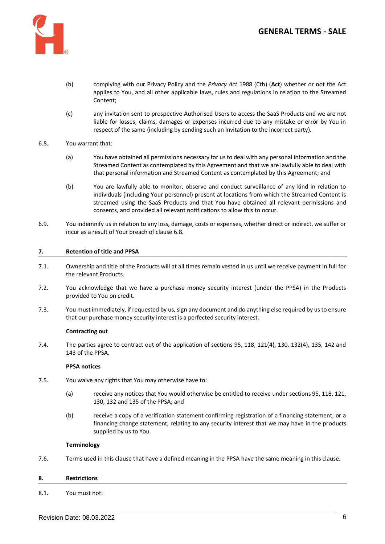

- (b) complying with our Privacy Policy and the *Privacy Act* 1988 (Cth) (**Act**) whether or not the Act applies to You, and all other applicable laws, rules and regulations in relation to the Streamed Content;
- (c) any invitation sent to prospective Authorised Users to access the SaaS Products and we are not liable for losses, claims, damages or expenses incurred due to any mistake or error by You in respect of the same (including by sending such an invitation to the incorrect party).

# <span id="page-5-0"></span>6.8. You warrant that:

- (a) You have obtained all permissions necessary for us to deal with any personal information and the Streamed Content as contemplated by this Agreement and that we are lawfully able to deal with that personal information and Streamed Content as contemplated by this Agreement; and
- (b) You are lawfully able to monitor, observe and conduct surveillance of any kind in relation to individuals (including Your personnel) present at locations from which the Streamed Content is streamed using the SaaS Products and that You have obtained all relevant permissions and consents, and provided all relevant notifications to allow this to occur.
- 6.9. You indemnify us in relation to any loss, damage, costs or expenses, whether direct or indirect, we suffer or incur as a result of Your breach of claus[e 6.8.](#page-5-0)

# **7. Retention of title and PPSA**

- 7.1. Ownership and title of the Products will at all times remain vested in us until we receive payment in full for the relevant Products.
- 7.2. You acknowledge that we have a purchase money security interest (under the PPSA) in the Products provided to You on credit.
- 7.3. You must immediately, if requested by us, sign any document and do anything else required by us to ensure that our purchase money security interest is a perfected security interest.

### **Contracting out**

7.4. The parties agree to contract out of the application of sections 95, 118, 121(4), 130, 132(4), 135, 142 and 143 of the PPSA.

### **PPSA notices**

- 7.5. You waive any rights that You may otherwise have to:
	- (a) receive any notices that You would otherwise be entitled to receive under sections 95, 118, 121, 130, 132 and 135 of the PPSA; and
	- (b) receive a copy of a verification statement confirming registration of a financing statement, or a financing change statement, relating to any security interest that we may have in the products supplied by us to You.

### **Terminology**

7.6. Terms used in this clause that have a defined meaning in the PPSA have the same meaning in this clause.

### **8. Restrictions**

## 8.1. You must not: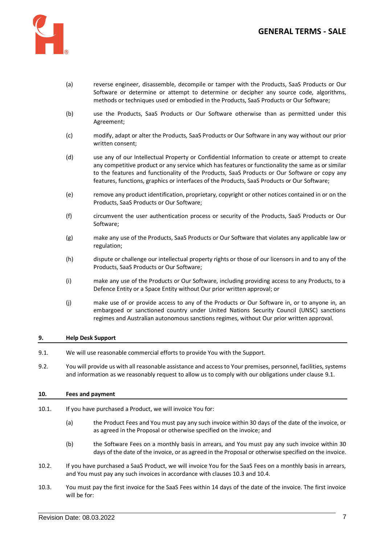



- (a) reverse engineer, disassemble, decompile or tamper with the Products, SaaS Products or Our Software or determine or attempt to determine or decipher any source code, algorithms, methods or techniques used or embodied in the Products, SaaS Products or Our Software;
- (b) use the Products, SaaS Products or Our Software otherwise than as permitted under this Agreement;
- (c) modify, adapt or alter the Products, SaaS Products or Our Software in any way without our prior written consent;
- (d) use any of our Intellectual Property or Confidential Information to create or attempt to create any competitive product or any service which has features or functionality the same as or similar to the features and functionality of the Products, SaaS Products or Our Software or copy any features, functions, graphics or interfaces of the Products, SaaS Products or Our Software;
- (e) remove any product identification, proprietary, copyright or other notices contained in or on the Products, SaaS Products or Our Software;
- (f) circumvent the user authentication process or security of the Products, SaaS Products or Our Software;
- (g) make any use of the Products, SaaS Products or Our Software that violates any applicable law or regulation;
- (h) dispute or challenge our intellectual property rights or those of our licensors in and to any of the Products, SaaS Products or Our Software;
- (i) make any use of the Products or Our Software, including providing access to any Products, to a Defence Entity or a Space Entity without Our prior written approval; or
- (j) make use of or provide access to any of the Products or Our Software in, or to anyone in, an embargoed or sanctioned country under United Nations Security Council (UNSC) sanctions regimes and Australian autonomous sanctions regimes, without Our prior written approval.

### **9. Help Desk Support**

- <span id="page-6-2"></span>9.1. We will use reasonable commercial efforts to provide You with the Support.
- 9.2. You will provide us with all reasonable assistance and access to Your premises, personnel, facilities, systems and information as we reasonably request to allow us to comply with our obligations under claus[e 9.1.](#page-6-2)

## <span id="page-6-0"></span>**10. Fees and payment**

- 10.1. If you have purchased a Product, we will invoice You for:
	- (a) the Product Fees and You must pay any such invoice within 30 days of the date of the invoice, or as agreed in the Proposal or otherwise specified on the invoice; and
	- (b) the Software Fees on a monthly basis in arrears, and You must pay any such invoice within 30 days of the date of the invoice, or as agreed in the Proposal or otherwise specified on the invoice.
- <span id="page-6-1"></span>10.2. If you have purchased a SaaS Product, we will invoice You for the SaaS Fees on a monthly basis in arrears, and You must pay any such invoices in accordance with clauses [10.3](#page-6-3) an[d 10.4.](#page-7-0)
- <span id="page-6-3"></span>10.3. You must pay the first invoice for the SaaS Fees within 14 days of the date of the invoice. The first invoice will be for: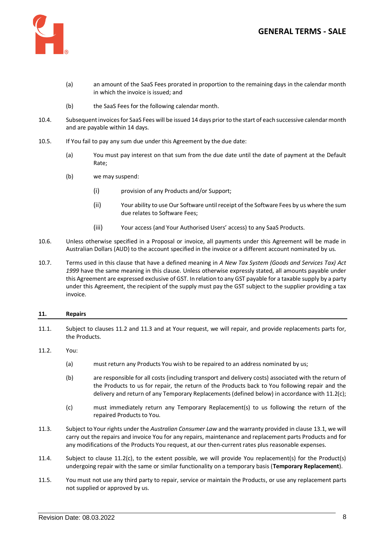

- (a) an amount of the SaaS Fees prorated in proportion to the remaining days in the calendar month in which the invoice is issued; and
- (b) the SaaS Fees for the following calendar month.
- <span id="page-7-0"></span>10.4. Subsequent invoices for SaaS Fees will be issued 14 days prior to the start of each successive calendar month and are payable within 14 days.
- 10.5. If You fail to pay any sum due under this Agreement by the due date:
	- (a) You must pay interest on that sum from the due date until the date of payment at the Default Rate;
	- (b) we may suspend:
		- (i) provision of any Products and/or Support;
		- (ii) Your ability to use Our Software until receipt of the Software Fees by us where the sum due relates to Software Fees;
		- (iii) Your access (and Your Authorised Users' access) to any SaaS Products.
- 10.6. Unless otherwise specified in a Proposal or invoice, all payments under this Agreement will be made in Australian Dollars (AUD) to the account specified in the invoice or a different account nominated by us.
- 10.7. Terms used in this clause that have a defined meaning in *A New Tax System (Goods and Services Tax) Act 1999* have the same meaning in this clause. Unless otherwise expressly stated, all amounts payable under this Agreement are expressed exclusive of GST. In relation to any GST payable for a taxable supply by a party under this Agreement, the recipient of the supply must pay the GST subject to the supplier providing a tax invoice.

# **11. Repairs**

- 11.1. Subject to clause[s 11.2](#page-7-1) and [11.3](#page-7-2) and at Your request, we will repair, and provide replacements parts for, the Products.
- <span id="page-7-1"></span>11.2. You:
	- (a) must return any Products You wish to be repaired to an address nominated by us;
	- (b) are responsible for all costs (including transport and delivery costs) associated with the return of the Products to us for repair, the return of the Products back to You following repair and the delivery and return of any Temporary Replacements (defined below) in accordance wit[h 11.2](#page-7-1)[\(c\);](#page-7-3)
	- (c) must immediately return any Temporary Replacement(s) to us following the return of the repaired Products to You.
- <span id="page-7-3"></span><span id="page-7-2"></span>11.3. Subject to Your rights under the *Australian Consumer Law* and the warranty provided in clause [13.1,](#page-8-1) we will carry out the repairs and invoice You for any repairs, maintenance and replacement parts Products and for any modifications of the Products You request, at our then-current rates plus reasonable expenses.
- 11.4. Subject to clause [11.2\(c\),](#page-7-3) to the extent possible, we will provide You replacement(s) for the Product(s) undergoing repair with the same or similar functionality on a temporary basis (**Temporary Replacement**).
- 11.5. You must not use any third party to repair, service or maintain the Products, or use any replacement parts not supplied or approved by us.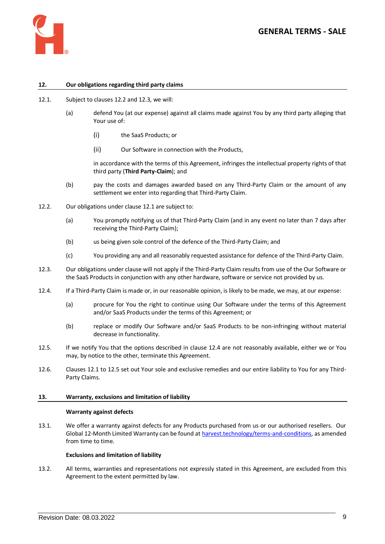

# **12. Our obligations regarding third party claims**

- <span id="page-8-4"></span><span id="page-8-0"></span>12.1. Subject to clauses [12.2](#page-8-2) an[d 12.3,](#page-8-3) we will:
	- (a) defend You (at our expense) against all claims made against You by any third party alleging that Your use of:
		- (i) the SaaS Products; or
		- (ii) Our Software in connection with the Products,

in accordance with the terms of this Agreement, infringes the intellectual property rights of that third party (**Third Party-Claim**); and

- (b) pay the costs and damages awarded based on any Third-Party Claim or the amount of any settlement we enter into regarding that Third-Party Claim.
- <span id="page-8-2"></span>12.2. Our obligations under clause [12.1](#page-8-4) are subject to:
	- (a) You promptly notifying us of that Third-Party Claim (and in any event no later than 7 days after receiving the Third-Party Claim);
	- (b) us being given sole control of the defence of the Third-Party Claim; and
	- (c) You providing any and all reasonably requested assistance for defence of the Third-Party Claim.
- <span id="page-8-3"></span>12.3. Our obligations under clause will not apply if the Third-Party Claim results from use of the Our Software or the SaaS Products in conjunction with any other hardware, software or service not provided by us.
- <span id="page-8-5"></span>12.4. If a Third-Party Claim is made or, in our reasonable opinion, is likely to be made, we may, at our expense:
	- (a) procure for You the right to continue using Our Software under the terms of this Agreement and/or SaaS Products under the terms of this Agreement; or
	- (b) replace or modify Our Software and/or SaaS Products to be non-infringing without material decrease in functionality.
- <span id="page-8-6"></span>12.5. If we notify You that the options described in clause [12.4](#page-8-5) are not reasonably available, either we or You may, by notice to the other, terminate this Agreement.
- 12.6. Clauses [12.1](#page-8-4) to [12.5](#page-8-6) set out Your sole and exclusive remedies and our entire liability to You for any Third-Party Claims.

### **13. Warranty, exclusions and limitation of liability**

#### **Warranty against defects**

<span id="page-8-1"></span>13.1. We offer a warranty against defects for any Products purchased from us or our authorised resellers. Our Global 12-Month Limited Warranty can be found a[t harvest.technology/terms-and-conditions,](https://www.harvest.technology/terms-and-conditions) as amended from time to time.

# **Exclusions and limitation of liability**

13.2. All terms, warranties and representations not expressly stated in this Agreement, are excluded from this Agreement to the extent permitted by law.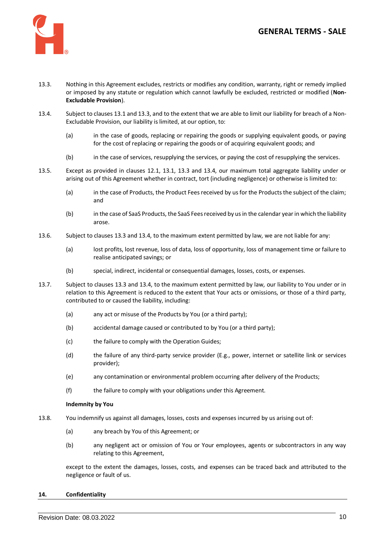

- <span id="page-9-0"></span>13.3. Nothing in this Agreement excludes, restricts or modifies any condition, warranty, right or remedy implied or imposed by any statute or regulation which cannot lawfully be excluded, restricted or modified (**Non-Excludable Provision**).
- <span id="page-9-1"></span>13.4. Subject to clause[s 13.1](#page-8-1) an[d 13.3,](#page-9-0) and to the extent that we are able to limit our liability for breach of a Non-Excludable Provision, our liability is limited, at our option, to:
	- (a) in the case of goods, replacing or repairing the goods or supplying equivalent goods, or paying for the cost of replacing or repairing the goods or of acquiring equivalent goods; and
	- (b) in the case of services, resupplying the services, or paying the cost of resupplying the services.
- 13.5. Except as provided in clauses [12.1,](#page-8-4) [13.1,](#page-8-1) [13.3](#page-9-0) and [13.4,](#page-9-1) our maximum total aggregate liability under or arising out of this Agreement whether in contract, tort (including negligence) or otherwise is limited to:
	- (a) in the case of Products, the Product Fees received by us for the Products the subject of the claim; and
	- (b) in the case of SaaS Products, the SaaS Fees received by us in the calendar year in which the liability arose.
- 13.6. Subject to clauses [13.3](#page-9-0) an[d 13.4,](#page-9-1) to the maximum extent permitted by law, we are not liable for any:
	- (a) lost profits, lost revenue, loss of data, loss of opportunity, loss of management time or failure to realise anticipated savings; or
	- (b) special, indirect, incidental or consequential damages, losses, costs, or expenses.
- 13.7. Subject to clause[s 13.3](#page-9-0) an[d 13.4,](#page-9-1) to the maximum extent permitted by law, our liability to You under or in relation to this Agreement is reduced to the extent that Your acts or omissions, or those of a third party, contributed to or caused the liability, including:
	- (a) any act or misuse of the Products by You (or a third party);
	- (b) accidental damage caused or contributed to by You (or a third party);
	- (c) the failure to comply with the Operation Guides;
	- (d) the failure of any third-party service provider (E.g., power, internet or satellite link or services provider);
	- (e) any contamination or environmental problem occurring after delivery of the Products;
	- (f) the failure to comply with your obligations under this Agreement.

#### **Indemnity by You**

- 13.8. You indemnify us against all damages, losses, costs and expenses incurred by us arising out of:
	- (a) any breach by You of this Agreement; or
	- (b) any negligent act or omission of You or Your employees, agents or subcontractors in any way relating to this Agreement,

except to the extent the damages, losses, costs, and expenses can be traced back and attributed to the negligence or fault of us.

#### <span id="page-9-2"></span>**14. Confidentiality**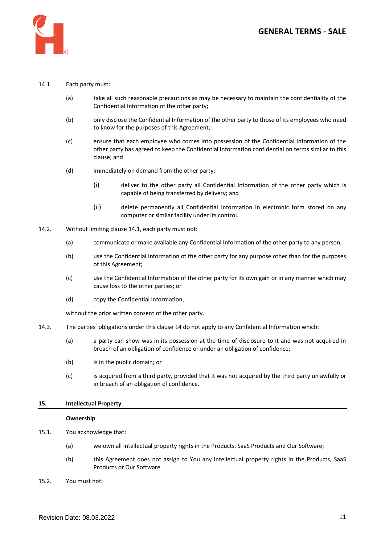

### <span id="page-10-0"></span>14.1. Each party must:

- (a) take all such reasonable precautions as may be necessary to maintain the confidentiality of the Confidential Information of the other party;
- (b) only disclose the Confidential Information of the other party to those of its employees who need to know for the purposes of this Agreement;
- (c) ensure that each employee who comes into possession of the Confidential Information of the other party has agreed to keep the Confidential Information confidential on terms similar to this clause; and
- (d) immediately on demand from the other party:
	- (i) deliver to the other party all Confidential Information of the other party which is capable of being transferred by delivery; and
	- (ii) delete permanently all Confidential Information in electronic form stored on any computer or similar facility under its control.
- 14.2. Without limiting claus[e 14.1,](#page-10-0) each party must not:
	- (a) communicate or make available any Confidential Information of the other party to any person;
	- (b) use the Confidential Information of the other party for any purpose other than for the purposes of this Agreement;
	- (c) use the Confidential Information of the other party for its own gain or in any manner which may cause loss to the other parties; or
	- (d) copy the Confidential Information,

without the prior written consent of the other party.

- 14.3. The parties' obligations under this clause [14](#page-9-2) do not apply to any Confidential Information which:
	- (a) a party can show was in its possession at the time of disclosure to it and was not acquired in breach of an obligation of confidence or under an obligation of confidence;
	- (b) is in the public domain; or
	- (c) is acquired from a third party, provided that it was not acquired by the third party unlawfully or in breach of an obligation of confidence.

### **15. Intellectual Property**

#### **Ownership**

- 15.1. You acknowledge that:
	- (a) we own all intellectual property rights in the Products, SaaS Products and Our Software;
	- (b) this Agreement does not assign to You any intellectual property rights in the Products, SaaS Products or Our Software.
- 15.2. You must not: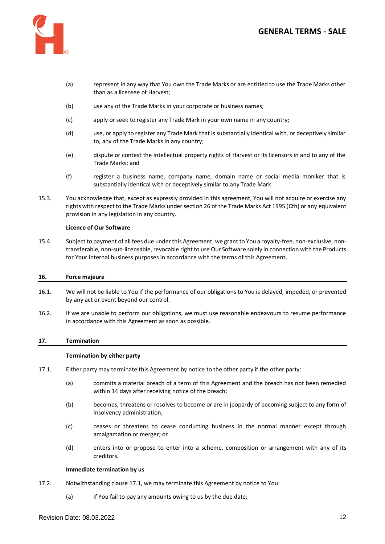

- (a) represent in any way that You own the Trade Marks or are entitled to use the Trade Marks other than as a licensee of Harvest;
- (b) use any of the Trade Marks in your corporate or business names;
- (c) apply or seek to register any Trade Mark in your own name in any country;
- (d) use, or apply to register any Trade Mark that is substantially identical with, or deceptively similar to, any of the Trade Marks in any country;
- (e) dispute or contest the intellectual property rights of Harvest or its licensors in and to any of the Trade Marks; and
- (f) register a business name, company name, domain name or social media moniker that is substantially identical with or deceptively similar to any Trade Mark.
- 15.3. You acknowledge that, except as expressly provided in this agreement, You will not acquire or exercise any rights with respect to the Trade Marks under section 26 of the Trade Marks Act 1995 (Cth) or any equivalent provision in any legislation in any country.

### **Licence of Our Software**

15.4. Subject to payment of all fees due under this Agreement, we grant to You a royalty-free, non-exclusive, nontransferable, non-sub-licensable, revocable right to use Our Software solely in connection with the Products for Your internal business purposes in accordance with the terms of this Agreement.

#### **16. Force majeure**

- 16.1. We will not be liable to You if the performance of our obligations to You is delayed, impeded, or prevented by any act or event beyond our control.
- 16.2. If we are unable to perform our obligations, we must use reasonable endeavours to resume performance in accordance with this Agreement as soon as possible.

### **17. Termination**

### **Termination by either party**

- 17.1. Either party may terminate this Agreement by notice to the other party if the other party:
	- (a) commits a material breach of a term of this Agreement and the breach has not been remedied within 14 days after receiving notice of the breach;
	- (b) becomes, threatens or resolves to become or are in jeopardy of becoming subject to any form of insolvency administration;
	- (c) ceases or threatens to cease conducting business in the normal manner except through amalgamation or merger; or
	- (d) enters into or propose to enter into a scheme, composition or arrangement with any of its creditors.

#### **Immediate termination by us**

- 17.2. Notwithstanding clause 17.1, we may terminate this Agreement by notice to You:
	- (a) if You fail to pay any amounts owing to us by the due date;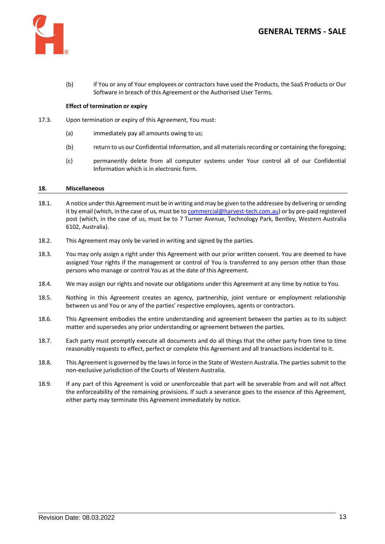

(b) if You or any of Your employees or contractors have used the Products, the SaaS Products or Our Software in breach of this Agreement or the Authorised User Terms.

# **Effect of termination or expiry**

- 17.3. Upon termination or expiry of this Agreement, You must:
	- (a) immediately pay all amounts owing to us;
	- (b) return to us our Confidential Information, and all materials recording or containing the foregoing;
	- (c) permanently delete from all computer systems under Your control all of our Confidential Information which is in electronic form.

### **18. Miscellaneous**

- 18.1. A notice under this Agreement must be in writing and may be given to the addressee by delivering or sending it by email (which, in the case of us, must be t[o commercial@harvest-tech.com.au\)](mailto:commercial@harvest-tech.com.au) or by pre-paid registered post (which, in the case of us, must be to 7 Turner Avenue, Technology Park, Bentley, Western Australia 6102, Australia).
- 18.2. This Agreement may only be varied in writing and signed by the parties.
- 18.3. You may only assign a right under this Agreement with our prior written consent. You are deemed to have assigned Your rights if the management or control of You is transferred to any person other than those persons who manage or control You as at the date of this Agreement.
- 18.4. We may assign our rights and novate our obligations under this Agreement at any time by notice to You.
- 18.5. Nothing in this Agreement creates an agency, partnership, joint venture or employment relationship between us and You or any of the parties' respective employees, agents or contractors.
- 18.6. This Agreement embodies the entire understanding and agreement between the parties as to its subject matter and supersedes any prior understanding or agreement between the parties.
- 18.7. Each party must promptly execute all documents and do all things that the other party from time to time reasonably requests to effect, perfect or complete this Agreement and all transactions incidental to it.
- 18.8. This Agreement is governed by the laws in force in the State of Western Australia. The parties submit to the non-exclusive jurisdiction of the Courts of Western Australia.
- 18.9. If any part of this Agreement is void or unenforceable that part will be severable from and will not affect the enforceability of the remaining provisions. If such a severance goes to the essence of this Agreement, either party may terminate this Agreement immediately by notice.